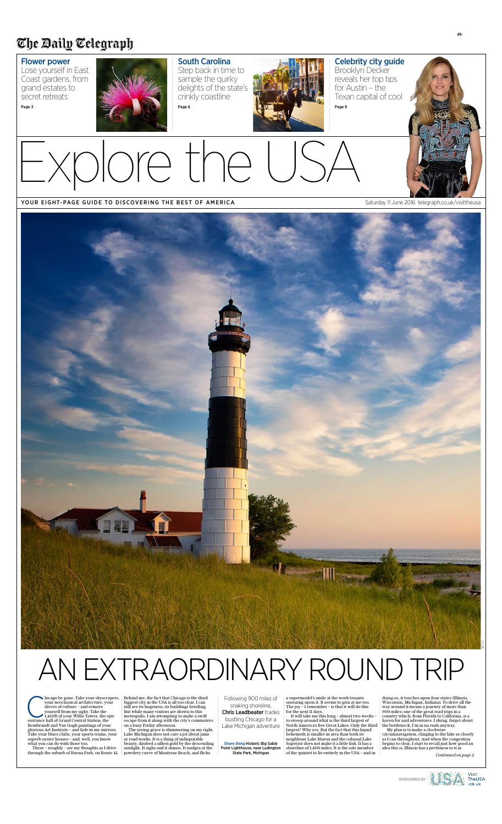Explore the USA

### YOUR EIGHT-PAGE GUIDE TO DISCOVERING THE BEST OF AMERICA Saturday 11 June 2016 telegraph.co.uk/visittheusa

hicago be gone. Take your skyscra<br>your neoclassical architecture, you<br>slivers of culture – and remove<br>yourself from my sight. Take the<br>1,450ft of your Willis Tower, the e<br>entrance hall of Grand Central Station, the your neoclassical architecture, your slivers of culture – and remove yourself from my sight. Take the 1,450ft of your Willis Tower, the epic Rembrandt and Van Gogh paintings of your glorious Art Institute – and fade in my mirrors. Take your blues clubs, your sports teams, your superb oyster houses – and, well, you know what you can do with those too.

hicago be gone. Take your skyscrapers, Behind me, the fact that Chicago is the third biggest city in the USA is all too clear. I can still see its hugeness, its buildings bristling. But while many visitors are drawn to this metropolis, I am attempting to make a swift escape from it along with the city's commuters on a busy Friday afternoon.

These – roughly – are my thoughts as I drive through the suburb of Buena Park, on Route 41.

The saving grace is shimmering on my right. Lake Michigan does not care a jot about jams or road works. It is a thing of indisputable beauty, daubed a silken gold by the descending sunlight. It sighs and it shines. It nudges at the powdery curve of Montrose Beach, and flicks

Following 900 miles of snaking shoreline, Chris Leadbeater trades bustling Chicago for a Lake Michigan adventure

# AN EXTRAORDINARY ROUND TRIP

a supermodel's smile at the work-truants snoozing upon it. It seems to grin at me too. The joy – I remember – is that it will do this for the next 11 days.

It will take me this long – almost two weeks – to sweep around what is the third largest of North America's five Great Lakes. Only the third largest? Why yes. But the fact that this liquid behemoth is smaller in area than both its neighbour Lake Huron and the colossal Lake Superior does not make it a little fish. It has a shoreline of 1,400 miles. It is the sole member of the quintet to lie entirely in the USA – and in

doing so, it touches upon four states (Illinois, Wisconsin, Michigan, Indiana). To drive all the way around it means a journey of more than 900 miles; one of the great road trips in a country which, from Florida to California, is a haven for said adventures. I shrug, forget about the bottleneck. I'm in no rush anyway.

My plan is to make a clockwise circumnavigation, clinging to the lake as closely as I can throughout. And when the congestion begins to clear, I start to recall just how good an idea this is. Illinois has a prettiness to it as

*Continued on page 2* 





## The Daily Telegraph

## Flower power

Lose yourself in East Coast gardens, from grand estates to secret retreats

Page 3



South Carolina Step back in time to sample the quirky delights of the state's crinkly coastline Page 6



Celebrity city guide Brooklyn Decker reveals her top tips for Austin – the Texan capital of cool Page 8



Shore thing Historic Big Sable Point Lighthouse, near Ludington State Park, Michigan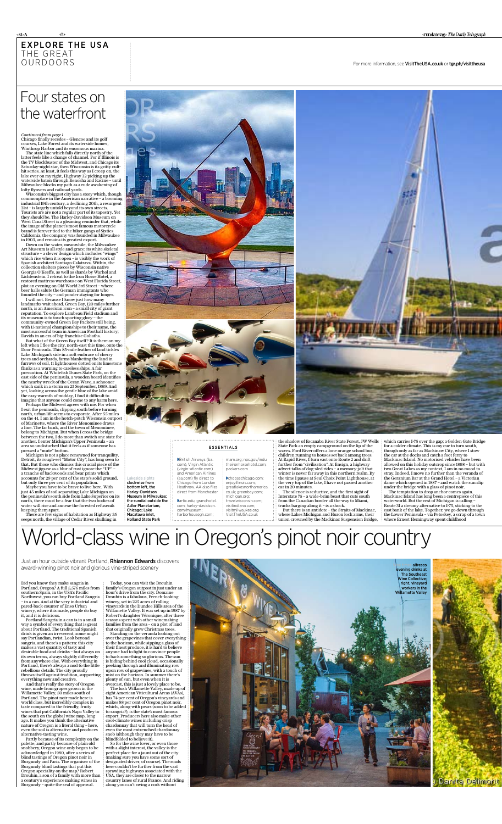## explore the usa THE GREAT **OURDOORS**

cfb

⊲sl>A

For more information, see VisitTheUSA.co.uk or tgr.ph/visittheusa

Just an hour outside vibrant Portland, Rhiannon Edwards discovers award-winning pinot noir and glorious vine-striped scenery

## Four states on the waterfront

Chicago finally recedes – Glencoe and its golf courses, Lake Forest and its waterside homes, Winthrop Harbor and its enormous marina.

The state line which falls directly north of the latter feels like a change of channel. For if Illinois is the TV blockbuster of the Midwest, and Chicago its Saturday-night star, then Wisconsin is its gritty culthit series. At least, it feels this way as I creep on, the lake ever on my right, Highway 32 picking up the waterside baton through Kenosha and Racine – until Milwaukee blocks my path as a rude awakening of lofty flyovers and railroad yards.

Wisconsin's biggest city has a story which, though commonplace in the American narrative – a booming industrial 19th century, a declining 20th, a resurgent 21st – is largely untold beyond its own streets. Tourists are are not a regular part of its tapestry. Yet they should be. The Harley-Davidson Museum on West Canal Street is a gleaming reminder that, while the image of the planet's most famous motorcycle brand is forever tied to the biker gangs of Sixties California, the company was founded in Milwaukee in 1903, and remains its greatest export.

Down on the water, meanwhile, the Milwaukee Art Museum is all style and grace; its white skeletal structure – a clever design which includes "wings" which rise when it is open – is visibly the work of Spanish architect Santiago Calatrava. Within, the collection shelters pieces by Wisconsin native Georgia O'Keeffe, as well as shards by Warhol and Lichtenstein. I retreat to the Iron Horse Hotel, a restored mattress warehouse on West Florida Street, plot an evening on Old World 3rd Street – where beer halls salute the German immigrants who founded the city – and ponder staying for longer.

I will not. Because I know just how many landmarks wait ahead. Green Bay, 120 miles further north, is an American icon – a small city of giant reputation. To explore Lambeau Field stadium and its museum is to touch sporting glory – the community-owned Green Bay Packers still being, with 13 national championships to their name, the most successful team in American Football history; Davids in an era of big-franchise Goliaths.

> n and Huron lock arms, their union crowned by the Mackinac Suspension Bridge,

But what of the Green Bay itself? It is there on my left when I flee the city, north-east this time, onto the Door Peninsula. This 85-mile feather of land tickles Lake Michigan's side in a soft embrace of cherry trees and orchards, farms blanketing the land in furrows of soil, 11 lighthouses dotted on its limestone flanks as a warning to careless ships. A fair precaution. At Whitefish Dunes State Park, on the east side of the peninsula, a wooden board identifies the nearby wreck of the Ocean Wave, a schooner which sank in a storm on 23 September, 1869. And yet, looking across the gentle blue of the lake amid the easy warmth of midday, I find it difficult to imagine that anyone could come to any harm here.

> The temptation to drop anchor comes again. Mackinac Island has long been a centrepiece of this waterworld. But the rest of Michigan is calling – Route 31 a dreamy alternative to I-75, sticking to the east bank of the lake. Together, we go down through the Lower Peninsula – via Petoskey, a scrap of a town where Ernest Hemingway spent childhood

Perhaps the Midwest agrees with me. For when I exit the peninsula, clipping south before turning north, urban life seems to evaporate. After 55 miles on the 41, I am in the hotch-potch Wisconsin outpost of Marinette, where the River Menominee draws a line. The far bank, and the town of Menominee, belong to Michigan. But when I cross the bridge



between the two, I do more than switch one state for another. I enter Michigan's Upper Peninsula – an area so undisturbed that it feels as if someone has pressed a "mute" button.

Michigan is not a place renowned for tranquility. Detroit, its rough-set "Motor City", has long seen to that. But those who dismiss this crucial piece of the Midwest jigsaw as a blur of rust ignore the "UP" – a tranche of backwoods and bear prints which accounts for 29 per cent of the state's solid ground, but only three per cent of its population.

Maybe you have to be brave to live here. With just 45 miles of soil separating Lake Michigan on the peninsula's south side from Lake Superior on its north, there must be a fear that the two bodies of water will rise and annexe the forested refusenik keeping them apart.

There are few signs of habitation as Highway 35 seeps north, the village of Cedar River skulking in

which carries I-75 over the gap; a Golden Gate Bridge for a colder climate. This is my cue to turn south, though only as far as Mackinaw City, where I stow the car at the docks and catch a foot ferry to Mackinac Island. No motorised vehicles have been allowed on this holiday outcrop since 1898 – but with two Great Lakes as my context, I am in no mood to stray. Indeed, I move no further than the veranda of the Geranium Bar at the Grand Hotel – a Victorian dame which opened in 1887 – and watch the sun slip under the bridge with a glass of pinot noir.

|                                                                                                                       | <b>ESSENTIALS</b>                                                                                   |                                                                                                              | the shadow of Escanab<br>State Park an empty ca<br>waves. Ford River offe<br>children running to ho                           |
|-----------------------------------------------------------------------------------------------------------------------|-----------------------------------------------------------------------------------------------------|--------------------------------------------------------------------------------------------------------------|-------------------------------------------------------------------------------------------------------------------------------|
|                                                                                                                       | British Airways (ba.<br>com), Virgin Atlantic<br>(virgin-atlantic.com)<br>and American Airlines     | mam.org; nps.gov/indu<br>theironhorsehotel.com:<br>packers.com                                               | At Rapid River, I turn<br>further from "civilisati<br>advert talks of dog-slee<br>winter is never far awa                     |
| Lakeside sights<br>clockwise from<br>bottom left, the<br><b>Harley-Davidson</b><br><b>Museum in Milwaukee:</b>        | (aa.com) flv direct to<br>Chicago from London<br>Heathrow. AA also flies<br>direct from Manchester. | Choosechicago.com;<br>eniovillinois.com:<br>greatlakesnorthamerica.<br>co.uk; greenbay.com;<br>michigan.org; | the time I pause at Seu<br>the very top of the lake<br>car in 20 minutes.<br>The silence is seduc<br>Interstate 75 - a wide-l |
| the sundial outside the<br><b>Adler Planetarium.</b><br>Chicago; Lake<br>Macatawa inlet,<br><b>Holland State Park</b> | Dartic.edu; grandhotel.<br>com; harley-davidson.<br>com/museum:<br>harborhousegh.com;               | travelwisconsin.com:<br>visitindiana.com:<br>visitmilwaukee.org<br>VisitTheUSA.co.uk                         | from the Canadian bor<br>trucks barging along it<br>But there is an antid<br>where Lakes Michigan<br>union crowned by the     |

the State Forest, JW Wells  $\epsilon$  impground on the lip of the rs a lone orange school bus, puses set back among trees. east onto Route 2 and drift ion". At Ensign, a highway d rides – a memory-jolt that ay in this northern realm. By I Choix Point Lighthouse, at e, I have not passed another

tive, and the first sight of brim beast that cuts south from the canadian border all the way to Miami, t – is a shock. lote – the Straits of Mackinac,

*Continued from page 1* 

## World-class wine in Oregon's pinot noir country

Did you know they make sangria in Portland, Oregon? A full 5,576 miles from southern Spain, in the USA's Pacific Northwest, you can buy Portland Sangria – in a can. And at the very industrial and pared-back counter of Enso Urban winery, where it is made, people do buy it, and it is delicious.

Portland Sangria in a can is in a small way a symbol of everything that is great about Portland. The traditional Spanish drink is given an irreverent, some might say Portlandian, twist. Look beyond sangria, and there's a pattern: this city makes a vast quantity of tasty and desirable food and drinks – but always on its own terms, always slightly differently from anywhere else. With everything in Portland, there's always a nod to the little rebellious details. The city proudly throws itself against tradition, supporting everything new and creative.

And that's really the story of Oregon wine, made from grapes grown in the Willamette Valley, 50 miles south of Portland. The pinot noir made here is world class, but incredibly complex in taste compared to the friendly, fruity wines that put California's Napa Valley to the south on the global wine map, long ago. It makes you think the alternative nature of Oregon is a literal thing – here, even the soil is alternative and produces alternative-tasting wine.

Partly because of its complexity on the palette, and partly because of plain old snobbery, Oregon wine only began to be acknowledged in 1980, after a series of blind tastings of Oregon pinot noir in Burgundy and Paris. The organiser of the Burgundy blind tastings that put this Oregon speciality on the map? Robert Drouhin, a son of a family with more than a century's experience making wines in Burgundy – quite the seal of approval.

Today, you can visit the Drouhin family's Oregon outpost in just under an hour's drive from the city. Domaine Drouhin is a fabulous, French-looking winery, set in 225 acres of rolling vineyards in the Dundee Hills area of the Willamette Valley. It was set up in 1987 by Robert's daughter Véronique, after three seasons spent with other winemaking families from the area – on a plot of land that originally grew Christmas trees.

Standing on the veranda looking out over the grapevines that cover everything over the grap vines time correction their finest produce, it is hard to believe anyone had to fight to convince people to back something so glorious. The sun is hiding behind cool cloud, occasionally peeking through and illuminating row upon row of grapevines, with a touch of mist on the horizon. In summer there's plenty of sun, but even when it is overcast, this is just a lovely place to be.

The lush Willamette Valley, made up of eight American Viticultural Areas (AVAs), has 74 per cent of Oregon's vineyards and makes 88 per cent of Oregon pinot noir, which, along with pears (soon to be added to sangria?), is the state's most famous export. Producers here also make other cool-climate wines including crisp chardonnay that will turn the head of even the most entrenched chardonnay snob (although they may have to be blindfolded to believe it).

So for the wine lover, or even those with a slight interest, the valley is the perfect place for a jaunt out of the city (making sure you have some sort of designated driver, of course). The roads here couldn't be further from the vast sprawling highways associated with the USA, they are closer to the narrow country lanes of rural France. And riding along you can't swing a cork without